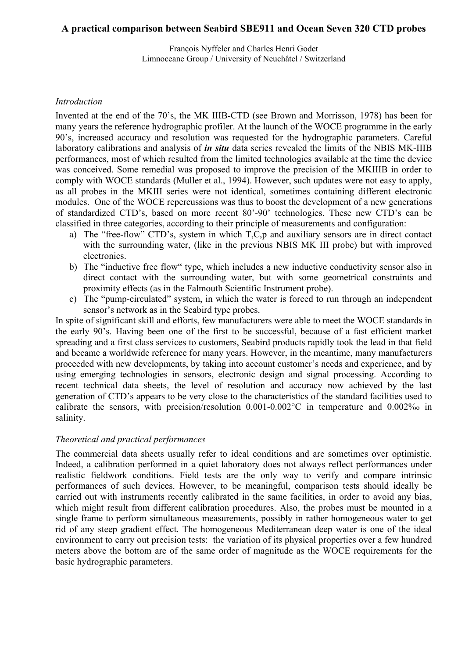# **A practical comparison between Seabird SBE911 and Ocean Seven 320 CTD probes**

François Nyffeler and Charles Henri Godet Limnoceane Group / University of Neuchâtel / Switzerland

### *Introduction*

Invented at the end of the 70's, the MK IIIB-CTD (see Brown and Morrisson, 1978) has been for many years the reference hydrographic profiler. At the launch of the WOCE programme in the early 90's, increased accuracy and resolution was requested for the hydrographic parameters. Careful laboratory calibrations and analysis of *in situ* data series revealed the limits of the NBIS MK-IIIB performances, most of which resulted from the limited technologies available at the time the device was conceived. Some remedial was proposed to improve the precision of the MKIIIB in order to comply with WOCE standards (Muller et al., 1994). However, such updates were not easy to apply, as all probes in the MKIII series were not identical, sometimes containing different electronic modules. One of the WOCE repercussions was thus to boost the development of a new generations of standardized CTD's, based on more recent 80'-90' technologies. These new CTD's can be classified in three categories, according to their principle of measurements and configuration:

- a) The "free-flow" CTD's, system in which T,C,p and auxiliary sensors are in direct contact with the surrounding water, (like in the previous NBIS MK III probe) but with improved electronics.
- b) The "inductive free flow" type, which includes a new inductive conductivity sensor also in direct contact with the surrounding water, but with some geometrical constraints and proximity effects (as in the Falmouth Scientific Instrument probe).
- c) The "pump-circulated" system, in which the water is forced to run through an independent sensor's network as in the Seabird type probes.

In spite of significant skill and efforts, few manufacturers were able to meet the WOCE standards in the early 90's. Having been one of the first to be successful, because of a fast efficient market spreading and a first class services to customers, Seabird products rapidly took the lead in that field and became a worldwide reference for many years. However, in the meantime, many manufacturers proceeded with new developments, by taking into account customer's needs and experience, and by using emerging technologies in sensors, electronic design and signal processing. According to recent technical data sheets, the level of resolution and accuracy now achieved by the last generation of CTD's appears to be very close to the characteristics of the standard facilities used to calibrate the sensors, with precision/resolution 0.001-0.002°C in temperature and 0.002%o in salinity.

#### *Theoretical and practical performances*

The commercial data sheets usually refer to ideal conditions and are sometimes over optimistic. Indeed, a calibration performed in a quiet laboratory does not always reflect performances under realistic fieldwork conditions. Field tests are the only way to verify and compare intrinsic performances of such devices. However, to be meaningful, comparison tests should ideally be carried out with instruments recently calibrated in the same facilities, in order to avoid any bias, which might result from different calibration procedures. Also, the probes must be mounted in a single frame to perform simultaneous measurements, possibly in rather homogeneous water to get rid of any steep gradient effect. The homogeneous Mediterranean deep water is one of the ideal environment to carry out precision tests: the variation of its physical properties over a few hundred meters above the bottom are of the same order of magnitude as the WOCE requirements for the basic hydrographic parameters.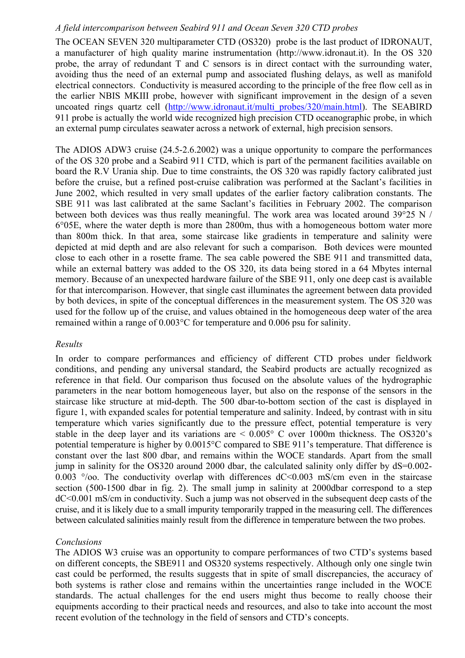### *A field intercomparison between Seabird 911 and Ocean Seven 320 CTD probes*

The OCEAN SEVEN 320 multiparameter CTD (OS320) probe is the last product of IDRONAUT, a manufacturer of high quality marine instrumentation (http://www.idronaut.it). In the OS 320 probe, the array of redundant T and C sensors is in direct contact with the surrounding water, avoiding thus the need of an external pump and associated flushing delays, as well as manifold electrical connectors. Conductivity is measured according to the principle of the free flow cell as in the earlier NBIS MKIII probe, however with significant improvement in the design of a seven uncoated rings quartz cell (http://www.idronaut.it/multi probes/320/main.html). The SEABIRD 911 probe is actually the world wide recognized high precision CTD oceanographic probe, in which an external pump circulates seawater across a network of external, high precision sensors.

The ADIOS ADW3 cruise (24.5-2.6.2002) was a unique opportunity to compare the performances of the OS 320 probe and a Seabird 911 CTD, which is part of the permanent facilities available on board the R.V Urania ship. Due to time constraints, the OS 320 was rapidly factory calibrated just before the cruise, but a refined post-cruise calibration was performed at the Saclant's facilities in June 2002, which resulted in very small updates of the earlier factory calibration constants. The SBE 911 was last calibrated at the same Saclant's facilities in February 2002. The comparison between both devices was thus really meaningful. The work area was located around 39°25 N / 6°05E, where the water depth is more than 2800m, thus with a homogeneous bottom water more than 800m thick. In that area, some staircase like gradients in temperature and salinity were depicted at mid depth and are also relevant for such a comparison. Both devices were mounted close to each other in a rosette frame. The sea cable powered the SBE 911 and transmitted data, while an external battery was added to the OS 320, its data being stored in a 64 Mbytes internal memory. Because of an unexpected hardware failure of the SBE 911, only one deep cast is available for that intercomparison. However, that single cast illuminates the agreement between data provided by both devices, in spite of the conceptual differences in the measurement system. The OS 320 was used for the follow up of the cruise, and values obtained in the homogeneous deep water of the area remained within a range of 0.003°C for temperature and 0.006 psu for salinity.

#### *Results*

In order to compare performances and efficiency of different CTD probes under fieldwork conditions, and pending any universal standard, the Seabird products are actually recognized as reference in that field. Our comparison thus focused on the absolute values of the hydrographic parameters in the near bottom homogeneous layer, but also on the response of the sensors in the staircase like structure at mid-depth. The 500 dbar-to-bottom section of the cast is displayed in figure 1, with expanded scales for potential temperature and salinity. Indeed, by contrast with in situ temperature which varies significantly due to the pressure effect, potential temperature is very stable in the deep layer and its variations are  $\leq 0.005^{\circ}$  C over 1000m thickness. The OS320's potential temperature is higher by 0.0015°C compared to SBE 911's temperature. That difference is constant over the last 800 dbar, and remains within the WOCE standards. Apart from the small jump in salinity for the OS320 around 2000 dbar, the calculated salinity only differ by dS=0.002- 0.003  $\degree$ /00. The conductivity overlap with differences dC<0.003 mS/cm even in the staircase section (500-1500 dbar in fig. 2). The small jump in salinity at 2000dbar correspond to a step dC<0.001 mS/cm in conductivity. Such a jump was not observed in the subsequent deep casts of the cruise, and it is likely due to a small impurity temporarily trapped in the measuring cell. The differences between calculated salinities mainly result from the difference in temperature between the two probes.

## *Conclusions*

The ADIOS W3 cruise was an opportunity to compare performances of two CTD's systems based on different concepts, the SBE911 and OS320 systems respectively. Although only one single twin cast could be performed, the results suggests that in spite of small discrepancies, the accuracy of both systems is rather close and remains within the uncertainties range included in the WOCE standards. The actual challenges for the end users might thus become to really choose their equipments according to their practical needs and resources, and also to take into account the most recent evolution of the technology in the field of sensors and CTD's concepts.